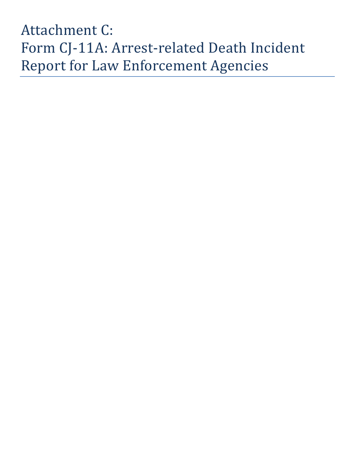# Attachment C: Form CJ-11A: Arrest-related Death Incident Report for Law Enforcement Agencies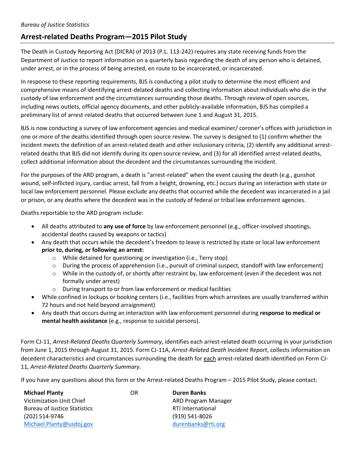### **Arrest-related Deaths Program—2015 Pilot Study**

The Death in Custody Reporting Act (DICRA) of 2013 (P.L. 113-242) requires any state receiving funds from the Department of Justice to report information on a quarterly basis regarding the death of any person who is detained, under arrest, or in the process of being arrested, en route to be incarcerated, or incarcerated.

In response to these reporting requirements, BJS is conducting a pilot study to determine the most efficient and comprehensive means of identifying arrest-delated deaths and collecting information about individuals who die in the custody of law enforcement and the circumstances surrounding those deaths. Through review of open sources, including news outlets, official agency documents, and other publicly-available information, BJS has compiled a preliminary list of arrest-related deaths that occurred between June 1 and August 31, 2015.

BJS is now conducting a survey of law enforcement agencies and medical examiner/ coroner's offices with jurisdiction in one or more of the deaths identified through open source review. The survey is designed to (1) confirm whether the incident meets the definition of an arrest-related death and other inclusionary criteria, (2) identify any additional arrestrelated deaths that BJS did not identify during its open source review, and (3) for all identified arrest-related deaths, collect additional information about the decedent and the circumstances surrounding the incident.

For the purposes of the ARD program, a death is "arrest-related" when the event causing the death (e.g., gunshot wound, self-inflicted injury, cardiac arrest, fall from a height, drowning, etc.) occurs during an interaction with state or local law enforcement personnel. Please exclude any deaths that occurred while the decedent was incarcerated in a jail or prison, or any deaths where the decedent was in the custody of federal or tribal law enforcement agencies.

Deaths reportable to the ARD program include:

- All deaths attributed to **any use of force** by law enforcement personnel (e.g., officer-involved shootings, accidental deaths caused by weapons or tactics)
- Any death that occurs while the decedent's freedom to leave is restricted by state or local law enforcement **prior to, during, or following an arrest:**
	- o While detained for questioning or investigation (i.e., Terry stop)
	- $\circ$  During the process of apprehension (i.e., pursuit of criminal suspect, standoff with law enforcement)
	- o While in the custody of, or shortly after restraint by, law enforcement (even if the decedent was not formally under arrest)
	- o During transport to or from law enforcement or medical facilities
- While confined in lockups or booking centers (i.e., facilities from which arrestees are usually transferred within 72 hours and not held beyond arraignment)
- Any death that occurs during an interaction with law enforcement personnel during **response to medical or mental health assistance** (e.g., response to suicidal persons).

Form CJ-11, *Arrest-Related Deaths Quarterly Summary*, identifies each arrest-related death occurring in your jurisdiction from June 1, 2015 through August 31, 2015. Form CJ-11A, *Arrest-Related Death Incident Report*, collects information on decedent characteristics and circumstances surrounding the death for each arrest-related death identified on Form CJ-11*, Arrest-Related Deaths Quarterly Summary*.

If you have any questions about this form or the Arrest-related Deaths Program – 2015 Pilot Study, please contact:

| <b>Michael Planty</b>               | OR | <b>Duren Banks</b>       |
|-------------------------------------|----|--------------------------|
| Victimization Unit Chief            |    | ARD Program Manager      |
| <b>Bureau of Justice Statistics</b> |    | <b>RTI International</b> |
| (202) 514-9746                      |    | (919) 541-8026           |
| Michael.Planty@usdoj.gov            |    | durenbanks@rti.org       |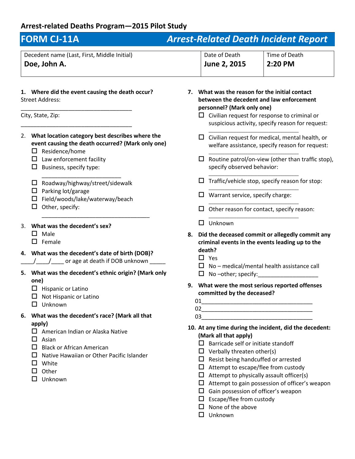## **Arrest-related Deaths Program—2015 Pilot Study**

| <b>FORM CJ-11A</b>                                                                                                                                                                                |    |                                                                                                                                                                                                                                                                                                                                                                                        | <b>Arrest-Related Death Incident Report</b>                                                                     |
|---------------------------------------------------------------------------------------------------------------------------------------------------------------------------------------------------|----|----------------------------------------------------------------------------------------------------------------------------------------------------------------------------------------------------------------------------------------------------------------------------------------------------------------------------------------------------------------------------------------|-----------------------------------------------------------------------------------------------------------------|
| Decedent name (Last, First, Middle Initial)<br>Doe, John A.                                                                                                                                       |    | Date of Death<br>June 2, 2015                                                                                                                                                                                                                                                                                                                                                          | Time of Death<br>2:20 PM                                                                                        |
| 1. Where did the event causing the death occur?<br><b>Street Address:</b>                                                                                                                         | 7. | What was the reason for the initial contact<br>personnel? (Mark only one)                                                                                                                                                                                                                                                                                                              | between the decedent and law enforcement                                                                        |
| City, State, Zip:                                                                                                                                                                                 |    |                                                                                                                                                                                                                                                                                                                                                                                        | Civilian request for response to criminal or<br>suspicious activity, specify reason for request:                |
| What location category best describes where the<br>2.<br>event causing the death occurred? (Mark only one)<br>Residence/home                                                                      |    |                                                                                                                                                                                                                                                                                                                                                                                        | Civilian request for medical, mental health, or<br>welfare assistance, specify reason for request:              |
| Law enforcement facility<br>Ц<br>Business, specify type:<br>ப                                                                                                                                     |    | ◻<br>specify observed behavior:                                                                                                                                                                                                                                                                                                                                                        | Routine patrol/on-view (other than traffic stop),                                                               |
| Roadway/highway/street/sidewalk<br>ப                                                                                                                                                              |    |                                                                                                                                                                                                                                                                                                                                                                                        | Traffic/vehicle stop, specify reason for stop:                                                                  |
| Parking lot/garage<br>ப<br>Field/woods/lake/waterway/beach                                                                                                                                        |    | Warrant service, specify charge:                                                                                                                                                                                                                                                                                                                                                       |                                                                                                                 |
| Other, specify:                                                                                                                                                                                   |    |                                                                                                                                                                                                                                                                                                                                                                                        | Other reason for contact, specify reason:                                                                       |
| What was the decedent's sex?<br>3.                                                                                                                                                                |    | Unknown<br>ப                                                                                                                                                                                                                                                                                                                                                                           |                                                                                                                 |
| Male<br>П<br>Female                                                                                                                                                                               |    | death?                                                                                                                                                                                                                                                                                                                                                                                 | 8. Did the deceased commit or allegedly commit any<br>criminal events in the events leading up to the           |
| What was the decedent's date of birth (DOB)?<br>4.<br>_ or age at death if DOB unknown                                                                                                            |    | $\Box$ Yes                                                                                                                                                                                                                                                                                                                                                                             | No - medical/mental health assistance call                                                                      |
| What was the decedent's ethnic origin? (Mark only<br>5.<br>one)                                                                                                                                   |    | No-other; specify:<br>ப                                                                                                                                                                                                                                                                                                                                                                |                                                                                                                 |
| $\Box$ Hispanic or Latino<br>Not Hispanic or Latino<br>Unknown<br>ப                                                                                                                               | 9. | committed by the deceased?                                                                                                                                                                                                                                                                                                                                                             | What were the most serious reported offenses                                                                    |
| What was the decedent's race? (Mark all that<br>6.                                                                                                                                                |    |                                                                                                                                                                                                                                                                                                                                                                                        |                                                                                                                 |
| apply)<br>American Indian or Alaska Native<br>Asian<br>$\mathsf{L}$<br><b>Black or African American</b><br>ΙI<br>Native Hawaiian or Other Pacific Islander<br>White<br>Other<br>ப<br>п<br>Unknown |    | (Mark all that apply)<br>Barricade self or initiate standoff<br>$\mathbf{L}$<br>$\Box$ Verbally threaten other(s)<br>$\Box$ Resist being handcuffed or arrested<br>$\Box$ Attempt to escape/flee from custody<br>$\Box$ Attempt to physically assault officer(s)<br>Gain possession of officer's weapon<br>$\Box$<br>Escape/flee from custody<br>$\Box$<br>None of the above<br>$\Box$ | 10. At any time during the incident, did the decedent:<br>$\Box$ Attempt to gain possession of officer's weapon |

Unknown